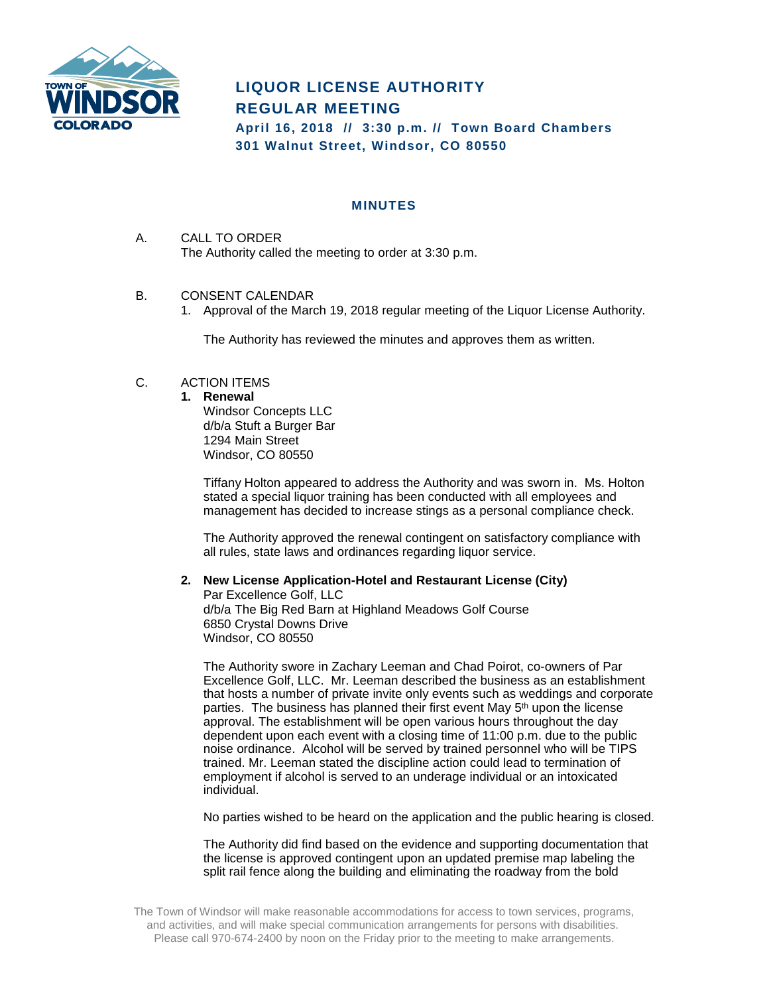

# **LIQUOR LICENSE AUTHORITY REGULAR MEETING**

**April 16, 2018 // 3:30 p.m. // Town Board Chambers 301 Walnut Street, Windsor, CO 80550**

## **MINUTES**

- A. CALL TO ORDER The Authority called the meeting to order at 3:30 p.m.
- B. CONSENT CALENDAR
	- 1. Approval of the March 19, 2018 regular meeting of the Liquor License Authority.

The Authority has reviewed the minutes and approves them as written.

# C. ACTION ITEMS

#### **1. Renewal**

Windsor Concepts LLC d/b/a Stuft a Burger Bar 1294 Main Street Windsor, CO 80550

Tiffany Holton appeared to address the Authority and was sworn in. Ms. Holton stated a special liquor training has been conducted with all employees and management has decided to increase stings as a personal compliance check.

The Authority approved the renewal contingent on satisfactory compliance with all rules, state laws and ordinances regarding liquor service.

## **2. New License Application-Hotel and Restaurant License (City)**

Par Excellence Golf, LLC d/b/a The Big Red Barn at Highland Meadows Golf Course 6850 Crystal Downs Drive Windsor, CO 80550

The Authority swore in Zachary Leeman and Chad Poirot, co-owners of Par Excellence Golf, LLC. Mr. Leeman described the business as an establishment that hosts a number of private invite only events such as weddings and corporate parties. The business has planned their first event May 5<sup>th</sup> upon the license approval. The establishment will be open various hours throughout the day dependent upon each event with a closing time of 11:00 p.m. due to the public noise ordinance. Alcohol will be served by trained personnel who will be TIPS trained. Mr. Leeman stated the discipline action could lead to termination of employment if alcohol is served to an underage individual or an intoxicated individual.

No parties wished to be heard on the application and the public hearing is closed.

The Authority did find based on the evidence and supporting documentation that the license is approved contingent upon an updated premise map labeling the split rail fence along the building and eliminating the roadway from the bold

The Town of Windsor will make reasonable accommodations for access to town services, programs, and activities, and will make special communication arrangements for persons with disabilities. Please call 970-674-2400 by noon on the Friday prior to the meeting to make arrangements.